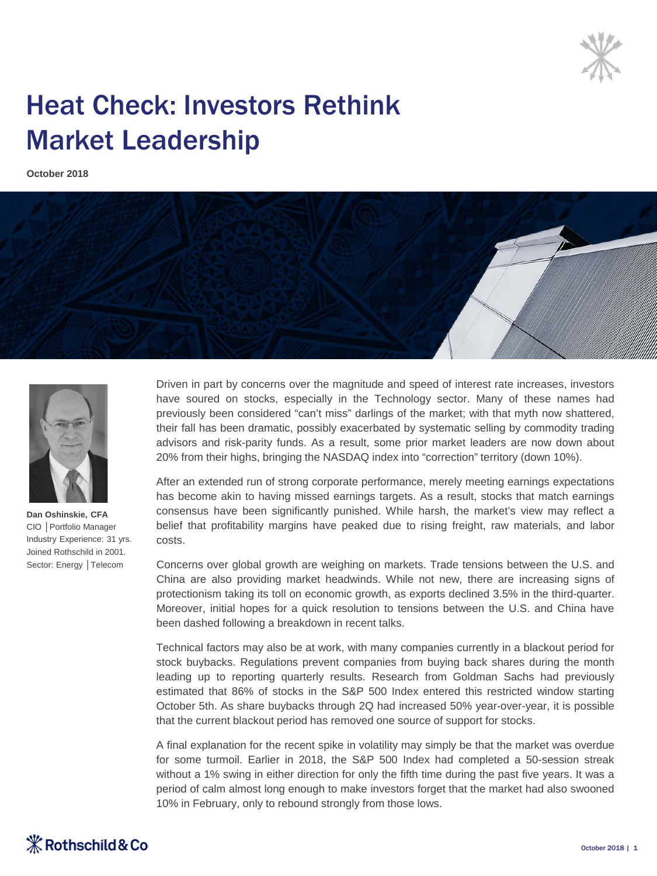

## Heat Check: Investors Rethink Market Leadership

**October 2018**





**Dan Oshinskie, CFA** CIO │Portfolio Manager Industry Experience: 31 yrs. Joined Rothschild in 2001. Sector: Energy │Telecom

Driven in part by concerns over the magnitude and speed of interest rate increases, investors have soured on stocks, especially in the Technology sector. Many of these names had previously been considered "can't miss" darlings of the market; with that myth now shattered, their fall has been dramatic, possibly exacerbated by systematic selling by commodity trading advisors and risk-parity funds. As a result, some prior market leaders are now down about 20% from their highs, bringing the NASDAQ index into "correction" territory (down 10%).

After an extended run of strong corporate performance, merely meeting earnings expectations has become akin to having missed earnings targets. As a result, stocks that match earnings consensus have been significantly punished. While harsh, the market's view may reflect a belief that profitability margins have peaked due to rising freight, raw materials, and labor costs.

Concerns over global growth are weighing on markets. Trade tensions between the U.S. and China are also providing market headwinds. While not new, there are increasing signs of protectionism taking its toll on economic growth, as exports declined 3.5% in the third-quarter. Moreover, initial hopes for a quick resolution to tensions between the U.S. and China have been dashed following a breakdown in recent talks.

Technical factors may also be at work, with many companies currently in a blackout period for stock buybacks. Regulations prevent companies from buying back shares during the month leading up to reporting quarterly results. Research from Goldman Sachs had previously estimated that 86% of stocks in the S&P 500 Index entered this restricted window starting October 5th. As share buybacks through 2Q had increased 50% year-over-year, it is possible that the current blackout period has removed one source of support for stocks.

A final explanation for the recent spike in volatility may simply be that the market was overdue for some turmoil. Earlier in 2018, the S&P 500 Index had completed a 50-session streak without a 1% swing in either direction for only the fifth time during the past five years. It was a period of calm almost long enough to make investors forget that the market had also swooned 10% in February, only to rebound strongly from those lows.

## $\mathcal K$  Rothschild & Co